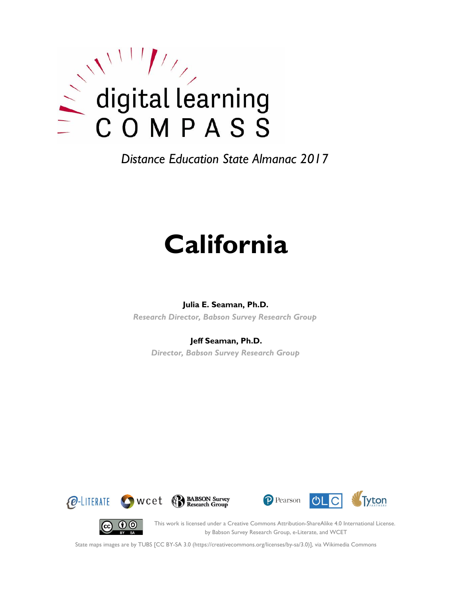

*Distance Education State Almanac 2017*

# **California**

## **Julia E. Seaman, Ph.D.**

*Research Director, Babson Survey Research Group*

## **Jeff Seaman, Ph.D.**

*Director, Babson Survey Research Group*









This work is licensed under a Creative Commons Attribution-ShareAlike 4.0 International License. by Babson Survey Research Group, e-Literate, and WCET

State maps images are by TUBS [CC BY-SA 3.0 (https://creativecommons.org/licenses/by-sa/3.0)], via Wikimedia Commons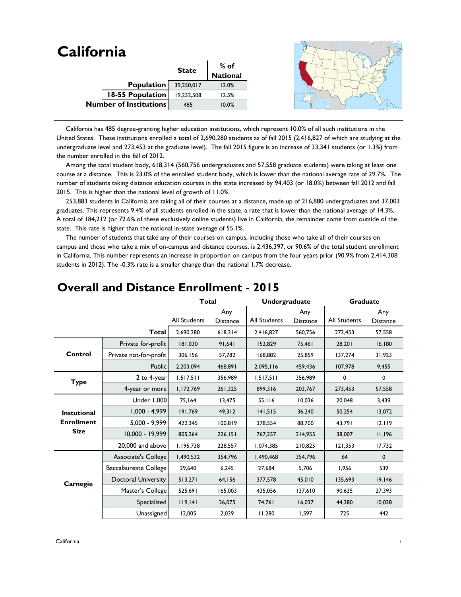| <b>California</b>             |              |                 |  |
|-------------------------------|--------------|-----------------|--|
|                               | <b>State</b> | $%$ of          |  |
|                               |              | <b>National</b> |  |
| Population                    | 39,250,017   | 12.0%           |  |
| <b>18-55 Population</b>       | 19,232,508   | 12.5%           |  |
| <b>Number of Institutions</b> | 485          | 10.0%           |  |
|                               |              |                 |  |

 California has 485 degree-granting higher education institutions, which represent 10.0% of all such institutions in the United States. These institutions enrolled a total of 2,690,280 students as of fall 2015 (2,416,827 of which are studying at the undergraduate level and 273,453 at the graduate level). The fall 2015 figure is an increase of 33,341 students (or 1.3%) from the number enrolled in the fall of 2012.

 Among the total student body, 618,314 (560,756 undergraduates and 57,558 graduate students) were taking at least one course at a distance. This is 23.0% of the enrolled student body, which is lower than the national average rate of 29.7%. The number of students taking distance education courses in the state increased by 94,403 (or 18.0%) between fall 2012 and fall 2015. This is higher than the national level of growth of 11.0%.

 253,883 students in California are taking all of their courses at a distance, made up of 216,880 undergraduates and 37,003 graduates. This represents 9.4% of all students enrolled in the state, a rate that is lower than the national average of 14.3%. A total of 184,212 (or 72.6% of these exclusively online students) live in California, the remainder come from outside of the state. This rate is higher than the national in-state average of 55.1%.

 The number of students that take any of their courses on campus, including those who take all of their courses on campus and those who take a mix of on-campus and distance courses, is 2,436,397, or 90.6% of the total student enrollment in California. This number represents an increase in proportion on campus from the four years prior (90.9% from 2,414,308 students in 2012). The -0.3% rate is a smaller change than the national 1.7% decrease.

|                    |                            | <b>Total</b> |                        | Undergraduate |                        | <b>Graduate</b> |                        |
|--------------------|----------------------------|--------------|------------------------|---------------|------------------------|-----------------|------------------------|
|                    |                            | All Students | Any<br><b>Distance</b> | All Students  | Any<br><b>Distance</b> | All Students    | Any<br><b>Distance</b> |
|                    | Total                      | 2,690,280    | 618,314                | 2,416,827     | 560,756                | 273,453         | 57,558                 |
|                    | Private for-profit         | 181,030      | 91,641                 | 152,829       | 75,461                 | 28,201          | 16,180                 |
| Control            | Private not-for-profit     | 306,156      | 57,782                 | 168,882       | 25,859                 | 137,274         | 31,923                 |
|                    | <b>Public</b>              | 2,203,094    | 468,891                | 2,095,116     | 459,436                | 107,978         | 9,455                  |
| <b>Type</b>        | 2 to 4-year                | 1,517,511    | 356,989                | 1,517,511     | 356,989                | 0               | 0                      |
|                    | 4-year or more             | 1,172,769    | 261,325                | 899,316       | 203,767                | 273,453         | 57,558                 |
|                    | Under 1,000                | 75,164       | 13,475                 | 55,116        | 10,036                 | 20,048          | 3,439                  |
| <b>Instutional</b> | $1,000 - 4,999$            | 191,769      | 49,312                 | 141,515       | 36,240                 | 50,254          | 13,072                 |
| <b>Enrollment</b>  | $5,000 - 9,999$            | 422,345      | 100,819                | 378,554       | 88,700                 | 43,791          | 12,119                 |
| <b>Size</b>        | 10,000 - 19,999            | 805,264      | 226,151                | 767,257       | 214,955                | 38.007          | 11,196                 |
|                    | 20,000 and above           | 1,195,738    | 228,557                | 1,074,385     | 210,825                | 121,353         | 17,732                 |
|                    | Associate's College        | 1,490,532    | 354,796                | 1,490,468     | 354,796                | 64              | $\mathbf 0$            |
|                    | Baccalaureate College      | 29,640       | 6,245                  | 27,684        | 5,706                  | 1,956           | 539                    |
| Carnegie           | <b>Doctoral University</b> | 513,271      | 64,156                 | 377,578       | 45,010                 | 135,693         | 19,146                 |
|                    | Master's College           | 525,691      | 165,003                | 435,056       | 137,610                | 90.635          | 27,393                 |
|                    | Specialized                | 119,141      | 26,075                 | 74,761        | 16,037                 | 44,380          | 10,038                 |
|                    | Unassigned                 | 12,005       | 2,039                  | 11,280        | 1,597                  | 725             | 442                    |

## **Overall and Distance Enrollment - 2015**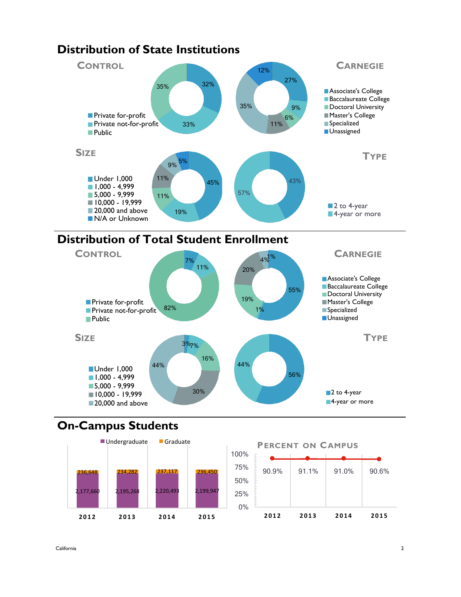

## **Distribution of State Institutions**





# **On-Campus Students**



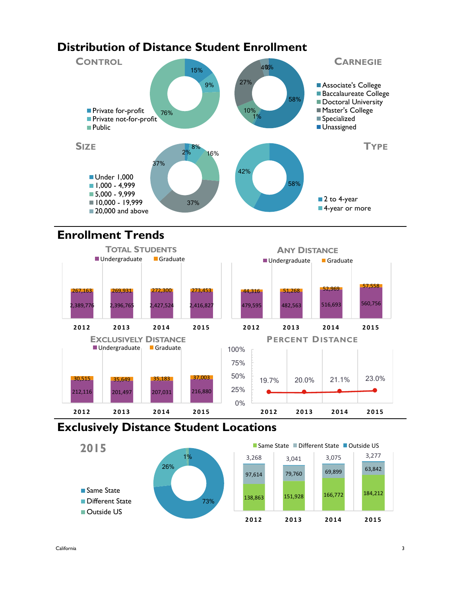# **Distribution of Distance Student Enrollment**



# **Enrollment Trends**



## **Exclusively Distance Student Locations**